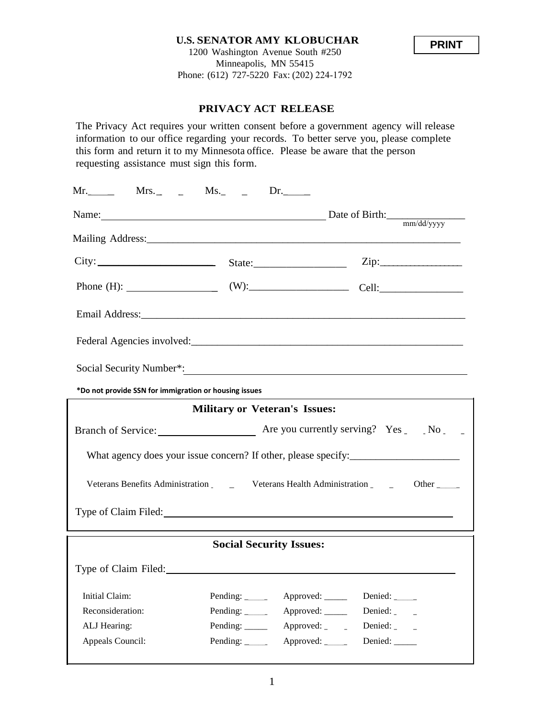## **U.S. SENATOR AMY KLOBUCHAR** 1200 Washington Avenue South #250 Minneapolis, MN 55415 Phone: (612) 727-5220 Fax: (202) 224-1792



## **PRIVACY ACT RELEASE**

The Privacy Act requires your written consent before a government agency will release information to our office regarding your records. To better serve you, please complete this form and return it to my Minnesota office. Please be aware that the person requesting assistance must sign this form.

| $Mr.$ Mrs. _ _ _ Ms. _ _ _ Dr.                                                                                                                                                                                                                                                                                                                                                                                                                                    |                                   |                         |                                                                |  |  |
|-------------------------------------------------------------------------------------------------------------------------------------------------------------------------------------------------------------------------------------------------------------------------------------------------------------------------------------------------------------------------------------------------------------------------------------------------------------------|-----------------------------------|-------------------------|----------------------------------------------------------------|--|--|
| Name: Date of Birth: $\frac{m \cdot \text{d} \cdot \text{d} \cdot \text{d} \cdot \text{d} \cdot \text{d} \cdot \text{d} \cdot \text{d} \cdot \text{d} \cdot \text{d} \cdot \text{d} \cdot \text{d} \cdot \text{d} \cdot \text{d} \cdot \text{d} \cdot \text{d} \cdot \text{d} \cdot \text{d} \cdot \text{d} \cdot \text{d} \cdot \text{d} \cdot \text{d} \cdot \text{d} \cdot \text{d} \cdot \text{d} \cdot \text{d} \cdot \text{d} \cdot \text{d} \cdot \text{d$ |                                   |                         |                                                                |  |  |
|                                                                                                                                                                                                                                                                                                                                                                                                                                                                   |                                   |                         |                                                                |  |  |
|                                                                                                                                                                                                                                                                                                                                                                                                                                                                   |                                   |                         |                                                                |  |  |
|                                                                                                                                                                                                                                                                                                                                                                                                                                                                   |                                   |                         |                                                                |  |  |
|                                                                                                                                                                                                                                                                                                                                                                                                                                                                   |                                   |                         |                                                                |  |  |
|                                                                                                                                                                                                                                                                                                                                                                                                                                                                   |                                   |                         |                                                                |  |  |
|                                                                                                                                                                                                                                                                                                                                                                                                                                                                   |                                   |                         |                                                                |  |  |
| Social Security Number*:                                                                                                                                                                                                                                                                                                                                                                                                                                          |                                   |                         |                                                                |  |  |
| *Do not provide SSN for immigration or housing issues                                                                                                                                                                                                                                                                                                                                                                                                             |                                   |                         |                                                                |  |  |
| <b>Military or Veteran's Issues:</b>                                                                                                                                                                                                                                                                                                                                                                                                                              |                                   |                         |                                                                |  |  |
|                                                                                                                                                                                                                                                                                                                                                                                                                                                                   |                                   |                         |                                                                |  |  |
|                                                                                                                                                                                                                                                                                                                                                                                                                                                                   |                                   |                         | What agency does your issue concern? If other, please specify: |  |  |
| Other                                                                                                                                                                                                                                                                                                                                                                                                                                                             |                                   |                         |                                                                |  |  |
| Type of Claim Filed: The Claim School of Claim School of Claim School of Claim School of Claim School of Claim                                                                                                                                                                                                                                                                                                                                                    |                                   |                         |                                                                |  |  |
| <b>Social Security Issues:</b>                                                                                                                                                                                                                                                                                                                                                                                                                                    |                                   |                         |                                                                |  |  |
| Type of Claim Filed: No. 1996. The Claim Filed:                                                                                                                                                                                                                                                                                                                                                                                                                   |                                   |                         |                                                                |  |  |
| Initial Claim:                                                                                                                                                                                                                                                                                                                                                                                                                                                    | Pending: $\overline{\phantom{a}}$ | Approved: _____         | Denied:                                                        |  |  |
| Reconsideration:                                                                                                                                                                                                                                                                                                                                                                                                                                                  | Pending: $\frac{1}{2}$            | Approved: _____         | Denied: ______                                                 |  |  |
| ALJ Hearing:                                                                                                                                                                                                                                                                                                                                                                                                                                                      | Pending: $\_\_\_\_\_\_\_\_\_\$    | Approved: $\frac{1}{2}$ | Denied: $\overline{\phantom{a}}$                               |  |  |
| Appeals Council:                                                                                                                                                                                                                                                                                                                                                                                                                                                  | Pending: $\frac{1}{2}$            | Approved: $\frac{1}{2}$ | Denied: ____                                                   |  |  |